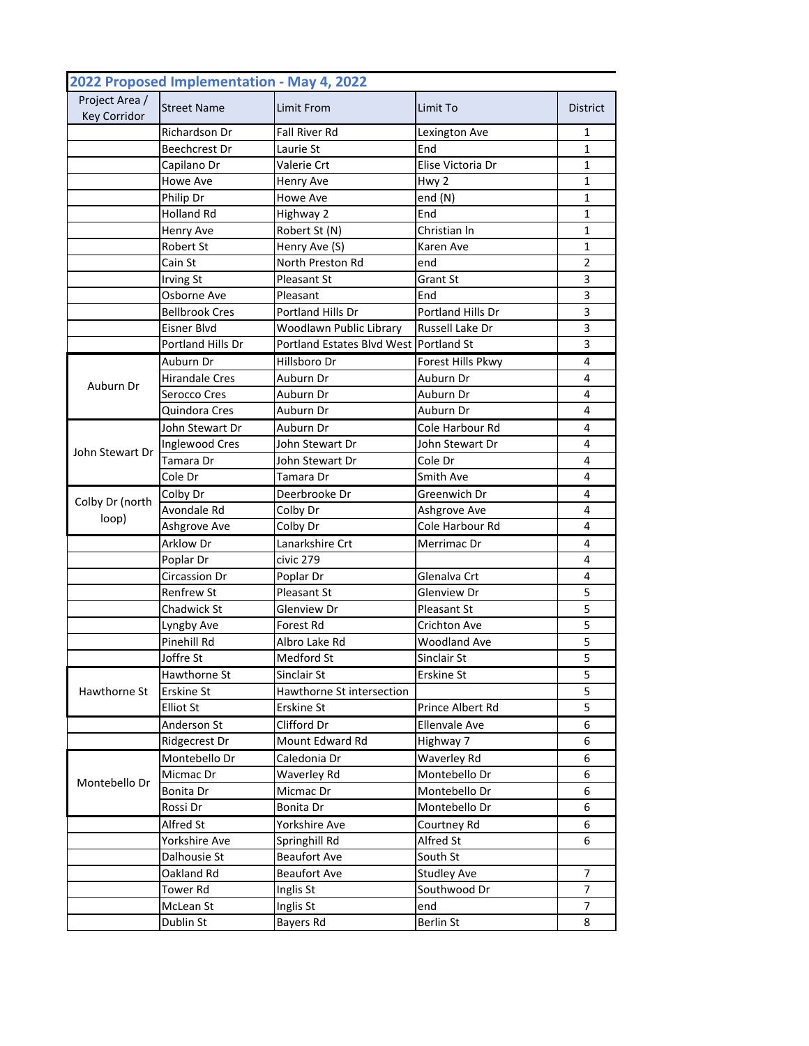|                                       | 2022 Proposed Implementation - May 4, 2022 |                                        |                      |                 |
|---------------------------------------|--------------------------------------------|----------------------------------------|----------------------|-----------------|
| Project Area /<br><b>Key Corridor</b> | <b>Street Name</b>                         | Limit From                             | Limit To             | <b>District</b> |
|                                       | Richardson Dr                              | Fall River Rd                          | Lexington Ave        | 1               |
|                                       | <b>Beechcrest Dr</b>                       | Laurie St                              | End                  | 1               |
|                                       | Capilano Dr                                | Valerie Crt                            | Elise Victoria Dr    | 1               |
|                                       | <b>Howe Ave</b>                            | Henry Ave                              | Hwy 2                | 1               |
|                                       | Philip Dr                                  | Howe Ave                               | end $(N)$            | 1               |
|                                       | <b>Holland Rd</b>                          | Highway 2                              | End                  | 1               |
|                                       | <b>Henry Ave</b>                           | Robert St (N)                          | Christian In         | 1               |
|                                       | Robert St                                  | Henry Ave (S)                          | Karen Ave            | 1               |
|                                       | Cain St                                    | North Preston Rd                       | end                  | 2               |
|                                       | Irving St                                  | Pleasant St                            | Grant St             | 3               |
|                                       | Osborne Ave                                | Pleasant                               | End                  | 3               |
|                                       | <b>Bellbrook Cres</b>                      | Portland Hills Dr                      | Portland Hills Dr    | 3               |
|                                       | Eisner Blvd                                | Woodlawn Public Library                | Russell Lake Dr      | 3               |
|                                       | <b>Portland Hills Dr</b>                   | Portland Estates Blvd West Portland St |                      | 3               |
|                                       | Auburn Dr                                  | Hillsboro Dr                           | Forest Hills Pkwy    | 4               |
|                                       | <b>Hirandale Cres</b>                      | Auburn Dr                              | Auburn Dr            | 4               |
| Auburn Dr                             | Serocco Cres                               | Auburn Dr                              | Auburn Dr            | 4               |
|                                       | Quindora Cres                              | Auburn Dr                              | Auburn Dr            | 4               |
|                                       | John Stewart Dr                            | Auburn Dr                              | Cole Harbour Rd      | 4               |
|                                       | Inglewood Cres                             | John Stewart Dr                        | John Stewart Dr      | 4               |
| John Stewart Dr                       | Tamara Dr                                  | John Stewart Dr                        | Cole Dr              | 4               |
|                                       | Cole Dr                                    | Tamara Dr                              | Smith Ave            | 4               |
|                                       | Colby Dr                                   | Deerbrooke Dr                          | Greenwich Dr         | 4               |
| Colby Dr (north                       | Avondale Rd                                | Colby Dr                               | Ashgrove Ave         | 4               |
| loop)                                 | Ashgrove Ave                               | Colby Dr                               | Cole Harbour Rd      | 4               |
|                                       | <b>Arklow Dr</b>                           | Lanarkshire Crt                        | Merrimac Dr          | 4               |
|                                       | Poplar Dr                                  | civic 279                              |                      | 4               |
|                                       | Circassion Dr                              | Poplar Dr                              | Glenalva Crt         | 4               |
|                                       | <b>Renfrew St</b>                          | Pleasant St                            | Glenview Dr          | 5               |
|                                       | Chadwick St                                | Glenview Dr                            | Pleasant St          | 5               |
|                                       | Lyngby Ave                                 | Forest Rd                              | Crichton Ave         | 5               |
|                                       | Pinehill Rd                                | Albro Lake Rd                          | <b>Woodland Ave</b>  | 5               |
|                                       | Joffre St                                  | Medford St                             | Sinclair St          | 5               |
|                                       | Hawthorne St                               | Sinclair St                            | Erskine St           | 5               |
| Hawthorne St                          | <b>Erskine St</b>                          | Hawthorne St intersection              |                      | 5               |
|                                       | <b>Elliot St</b>                           | Erskine St                             | Prince Albert Rd     | 5               |
|                                       | Anderson St                                | Clifford Dr                            | <b>Ellenvale Ave</b> | 6               |
|                                       | Ridgecrest Dr                              | Mount Edward Rd                        | Highway 7            | 6               |
| Montebello Dr                         | Montebello Dr                              | Caledonia Dr                           | Waverley Rd          | 6               |
|                                       | Micmac Dr                                  | Waverley Rd                            | Montebello Dr        | 6               |
|                                       | Bonita Dr                                  | Micmac Dr                              | Montebello Dr        | 6               |
|                                       | Rossi Dr                                   | Bonita Dr                              | Montebello Dr        | 6               |
|                                       | Alfred St                                  | Yorkshire Ave                          | Courtney Rd          | 6               |
|                                       | Yorkshire Ave                              | Springhill Rd                          | Alfred St            | 6               |
|                                       | Dalhousie St                               | <b>Beaufort Ave</b>                    | South St             |                 |
|                                       | Oakland Rd                                 | <b>Beaufort Ave</b>                    | <b>Studley Ave</b>   | $\overline{7}$  |
|                                       | Tower Rd                                   | Inglis St                              | Southwood Dr         | 7               |
|                                       | McLean St                                  | Inglis St                              | end                  | $\overline{7}$  |
|                                       | Dublin St                                  | Bayers Rd                              | <b>Berlin St</b>     | 8               |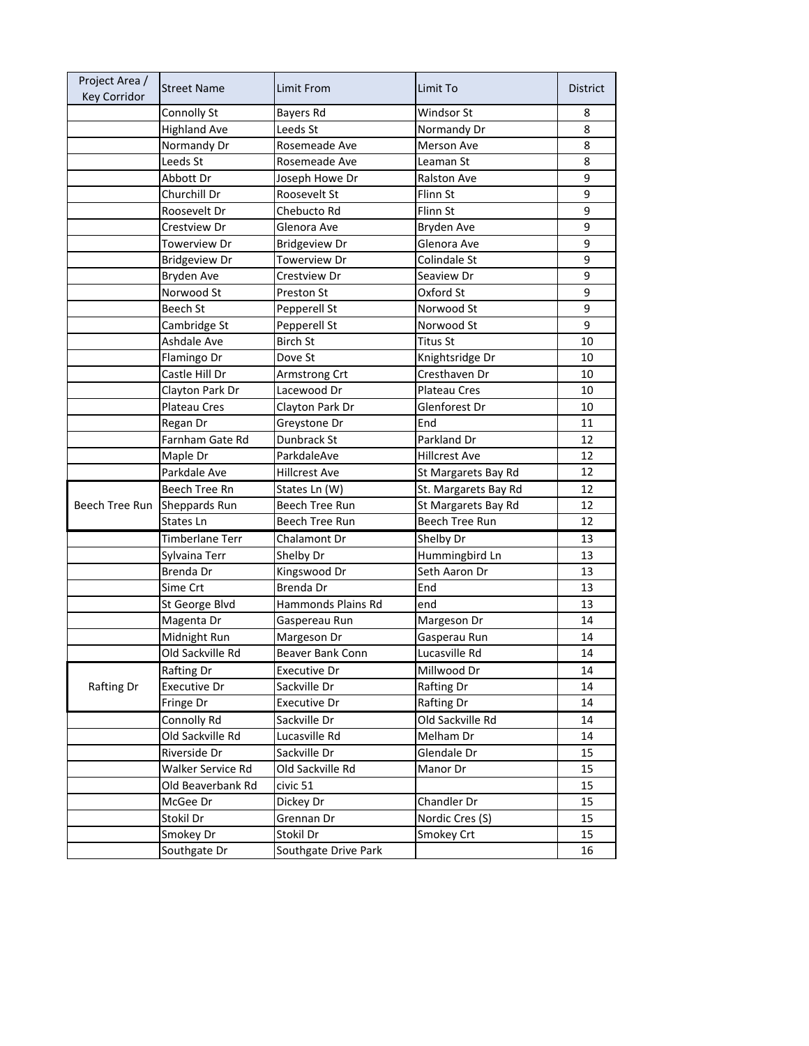| Project Area /<br><b>Key Corridor</b> | <b>Street Name</b>   | Limit From            | Limit To             | <b>District</b> |
|---------------------------------------|----------------------|-----------------------|----------------------|-----------------|
|                                       | Connolly St          | Bayers Rd             | Windsor St           | 8               |
|                                       | <b>Highland Ave</b>  | Leeds St              | Normandy Dr          | 8               |
|                                       | Normandy Dr          | Rosemeade Ave         | Merson Ave           | 8               |
|                                       | Leeds St             | Rosemeade Ave         | Leaman St            | 8               |
|                                       | Abbott Dr            | Joseph Howe Dr        | <b>Ralston Ave</b>   | 9               |
|                                       | Churchill Dr         | Roosevelt St          | Flinn St             | 9               |
|                                       | Roosevelt Dr         | Chebucto Rd           | Flinn St             | 9               |
|                                       | Crestview Dr         | Glenora Ave           | Bryden Ave           | 9               |
|                                       | Towerview Dr         | <b>Bridgeview Dr</b>  | Glenora Ave          | 9               |
|                                       | <b>Bridgeview Dr</b> | Towerview Dr          | Colindale St         | 9               |
|                                       | Bryden Ave           | Crestview Dr          | Seaview Dr           | 9               |
|                                       | Norwood St           | Preston St            | Oxford St            | 9               |
|                                       | Beech St             | Pepperell St          | Norwood St           | 9               |
|                                       | Cambridge St         | Pepperell St          | Norwood St           | 9               |
|                                       | <b>Ashdale Ave</b>   | <b>Birch St</b>       | <b>Titus St</b>      | 10              |
|                                       | Flamingo Dr          | Dove St               | Knightsridge Dr      | 10              |
|                                       | Castle Hill Dr       | Armstrong Crt         | Cresthaven Dr        | 10              |
|                                       | Clayton Park Dr      | Lacewood Dr           | <b>Plateau Cres</b>  | 10              |
|                                       | Plateau Cres         | Clayton Park Dr       | Glenforest Dr        | 10              |
|                                       | Regan Dr             | Greystone Dr          | End                  | 11              |
|                                       | Farnham Gate Rd      | Dunbrack St           | Parkland Dr          | 12              |
|                                       | Maple Dr             | ParkdaleAve           | <b>Hillcrest Ave</b> | 12              |
|                                       | Parkdale Ave         | <b>Hillcrest Ave</b>  | St Margarets Bay Rd  | 12              |
|                                       | Beech Tree Rn        | States Ln (W)         | St. Margarets Bay Rd | 12              |
| Beech Tree Run                        | Sheppards Run        | Beech Tree Run        | St Margarets Bay Rd  | 12              |
|                                       | States Ln            | <b>Beech Tree Run</b> | Beech Tree Run       | 12              |
|                                       | Timberlane Terr      | Chalamont Dr          | Shelby Dr            | 13              |
|                                       | Sylvaina Terr        | Shelby Dr             | Hummingbird Ln       | 13              |
|                                       | Brenda Dr            | Kingswood Dr          | Seth Aaron Dr        | 13              |
|                                       | Sime Crt             | Brenda Dr             | End                  | 13              |
|                                       | St George Blvd       | Hammonds Plains Rd    | end                  | 13              |
|                                       | Magenta Dr           | Gaspereau Run         | Margeson Dr          | 14              |
|                                       | Midnight Run         | Margeson Dr           | Gasperau Run         | 14              |
|                                       | Old Sackville Rd     | Beaver Bank Conn      | Lucasville Rd        | 14              |
|                                       | Rafting Dr           | Executive Dr          | Millwood Dr          | 14              |
| Rafting Dr                            | Executive Dr         | Sackville Dr          | Rafting Dr           | 14              |
|                                       | Fringe Dr            | Executive Dr          | Rafting Dr           | 14              |
|                                       | Connolly Rd          | Sackville Dr          | Old Sackville Rd     | 14              |
|                                       | Old Sackville Rd     | Lucasville Rd         | Melham Dr            | 14              |
|                                       | Riverside Dr         | Sackville Dr          | Glendale Dr          | 15              |
|                                       | Walker Service Rd    | Old Sackville Rd      | Manor Dr             | 15              |
|                                       | Old Beaverbank Rd    | civic 51              |                      | 15              |
|                                       | McGee Dr             | Dickey Dr             | Chandler Dr          | 15              |
|                                       | Stokil Dr            | Grennan Dr            | Nordic Cres (S)      | 15              |
|                                       | Smokey Dr            | Stokil Dr             | Smokey Crt           | 15              |
|                                       | Southgate Dr         | Southgate Drive Park  |                      | 16              |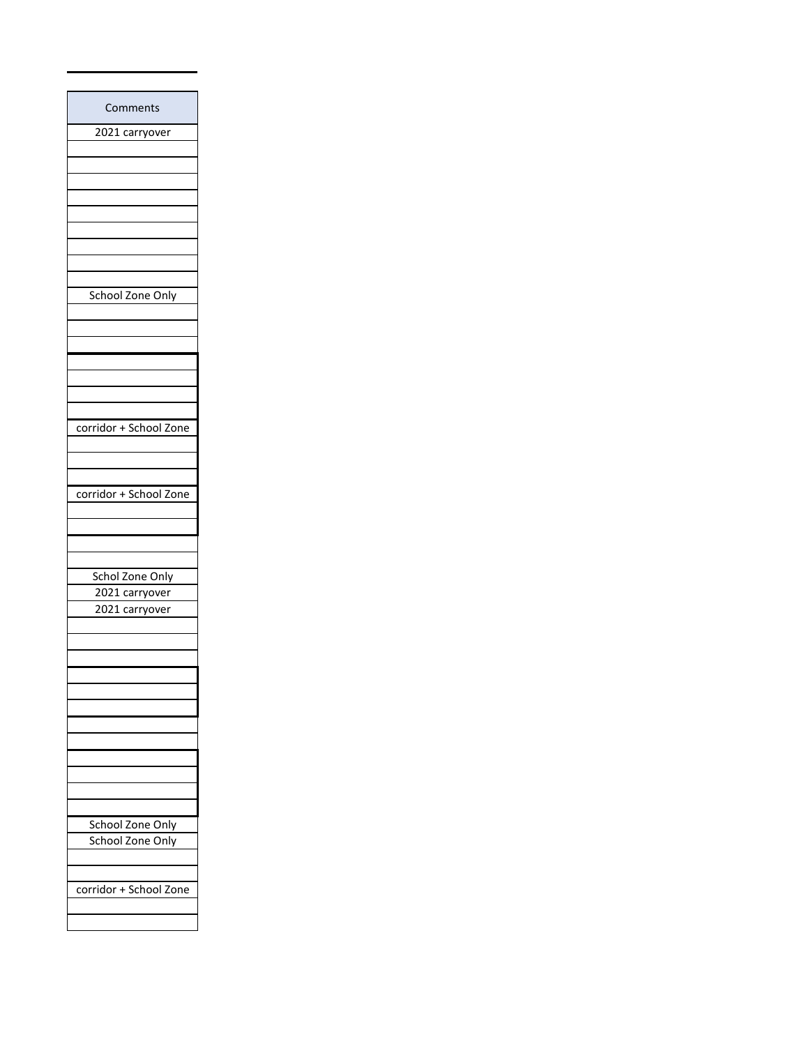| Comments               |
|------------------------|
| 2021 carryover         |
|                        |
|                        |
|                        |
|                        |
|                        |
|                        |
|                        |
|                        |
|                        |
| School Zone Only       |
|                        |
|                        |
|                        |
|                        |
|                        |
|                        |
|                        |
| corridor + School Zone |
|                        |
|                        |
|                        |
| corridor + School Zone |
|                        |
|                        |
|                        |
|                        |
| Schol Zone Only        |
| 2021 carryover         |
| 2021 carryover         |
|                        |
|                        |
|                        |
|                        |
|                        |
|                        |
|                        |
|                        |
|                        |
|                        |
|                        |
|                        |
| School Zone Only       |
| School Zone Only       |
|                        |
|                        |
| corridor + School Zone |
|                        |
|                        |